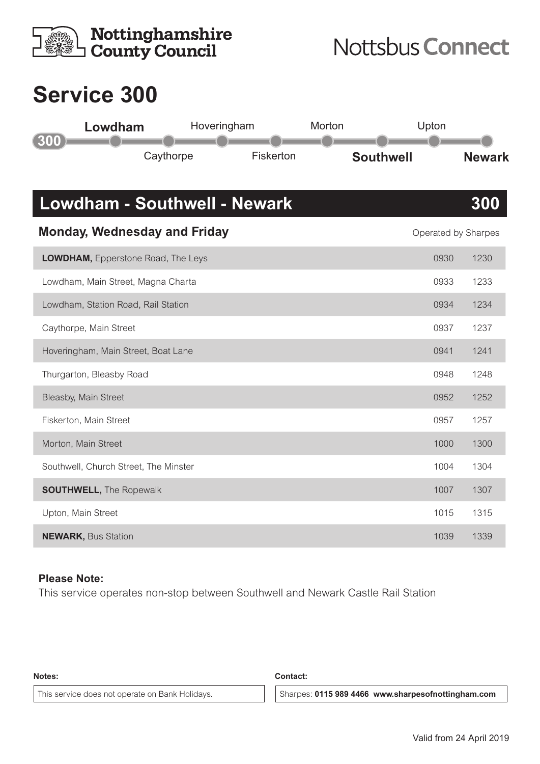| <b>Nottinghamshire</b><br><b>County Council</b> |             |           | <b>Nottsbus Connect</b> |                     |               |  |
|-------------------------------------------------|-------------|-----------|-------------------------|---------------------|---------------|--|
| <b>Service 300</b>                              |             |           |                         |                     |               |  |
| Lowdham                                         | Hoveringham |           | Morton                  | Upton               |               |  |
| 300<br>Caythorpe                                |             | Fiskerton |                         | <b>Southwell</b>    | <b>Newark</b> |  |
| <b>Lowdham - Southwell - Newark</b>             |             |           |                         |                     | 300           |  |
| <b>Monday, Wednesday and Friday</b>             |             |           |                         | Operated by Sharpes |               |  |
| <b>LOWDHAM, Epperstone Road, The Leys</b>       |             |           |                         | 0930                | 1230          |  |
| Lowdham, Main Street, Magna Charta              |             |           |                         | 0933                | 1233          |  |
| Lowdham, Station Road, Rail Station             |             |           |                         | 0934                | 1234          |  |
| Caythorpe, Main Street                          |             |           |                         | 0937                | 1237          |  |
| Hoveringham, Main Street, Boat Lane             |             |           |                         | 0941                | 1241          |  |
| Thurgarton, Bleasby Road                        |             |           |                         | 0948                | 1248          |  |
| Bleasby, Main Street                            |             |           |                         | 0952                | 1252          |  |
| Fiskerton, Main Street                          |             |           |                         | 0957                | 1257          |  |
| Morton, Main Street                             |             |           |                         | 1000                | 1300          |  |
| Southwell, Church Street, The Minster           |             |           |                         | 1004                | 1304          |  |
| <b>SOUTHWELL, The Ropewalk</b>                  |             |           |                         | 1007                | 1307          |  |
| Upton, Main Street                              |             |           |                         | 1015                | 1315          |  |
| <b>NEWARK, Bus Station</b>                      | 1039        | 1339      |                         |                     |               |  |

## **Please Note:**

This service operates non-stop between Southwell and Newark Castle Rail Station

**Notes: Contact:**

This service does not operate on Bank Holidays. **Sharpes: 0115 989 4466 www.sharpesofnottingham.com**